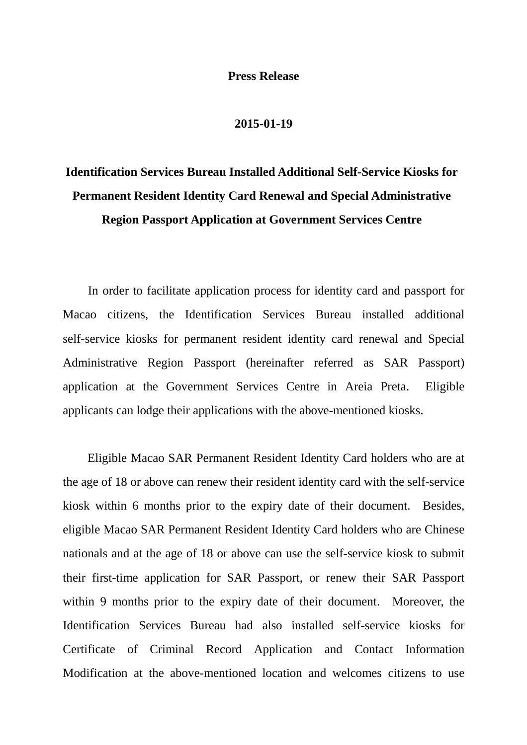## **Press Release**

## **2015-01-19**

## **Identification Services Bureau Installed Additional Self-Service Kiosks for Permanent Resident Identity Card Renewal and Special Administrative Region Passport Application at Government Services Centre**

In order to facilitate application process for identity card and passport for Macao citizens, the Identification Services Bureau installed additional self-service kiosks for permanent resident identity card renewal and Special Administrative Region Passport (hereinafter referred as SAR Passport) application at the Government Services Centre in Areia Preta. Eligible applicants can lodge their applications with the above-mentioned kiosks.

Eligible Macao SAR Permanent Resident Identity Card holders who are at the age of 18 or above can renew their resident identity card with the self-service kiosk within 6 months prior to the expiry date of their document. Besides, eligible Macao SAR Permanent Resident Identity Card holders who are Chinese nationals and at the age of 18 or above can use the self-service kiosk to submit their first-time application for SAR Passport, or renew their SAR Passport within 9 months prior to the expiry date of their document. Moreover, the Identification Services Bureau had also installed self-service kiosks for Certificate of Criminal Record Application and Contact Information Modification at the above-mentioned location and welcomes citizens to use